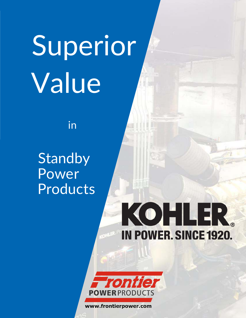## Superior Value

in

**Standby** Power Products

## KOHLER. **IN POWER. SINCE 1920.**



www.frontierpower.com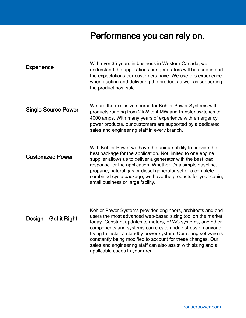## Performance you can rely on.

| <b>Experience</b>          | With over 35 years in business in Western Canada, we<br>understand the applications our generators will be used in and<br>the expectations our customers have. We use this experience<br>when quoting and delivering the product as well as supporting<br>the product post sale.                                                                                                                                                                                                             |
|----------------------------|----------------------------------------------------------------------------------------------------------------------------------------------------------------------------------------------------------------------------------------------------------------------------------------------------------------------------------------------------------------------------------------------------------------------------------------------------------------------------------------------|
| <b>Single Source Power</b> | We are the exclusive source for Kohler Power Systems with<br>products ranging from 2 kW to 4 MW and transfer switches to<br>4000 amps. With many years of experience with emergency<br>power products, our customers are supported by a dedicated<br>sales and engineering staff in every branch.                                                                                                                                                                                            |
| <b>Customized Power</b>    | With Kohler Power we have the unique ability to provide the<br>best package for the application. Not limited to one engine<br>supplier allows us to deliver a generator with the best load<br>response for the application. Whether it's a simple gasoline,<br>propane, natural gas or diesel generator set or a complete<br>combined cycle package, we have the products for your cabin,<br>small business or large facility.                                                               |
| Design-Get it Right!       | Kohler Power Systems provides engineers, architects and end<br>users the most advanced web-based sizing tool on the market<br>today. Constant updates to motors, HVAC systems, and other<br>components and systems can create undue stress on anyone<br>trying to install a standby power system. Our sizing software is<br>constantly being modified to account for these changes. Our<br>sales and engineering staff can also assist with sizing and all<br>applicable codes in your area. |